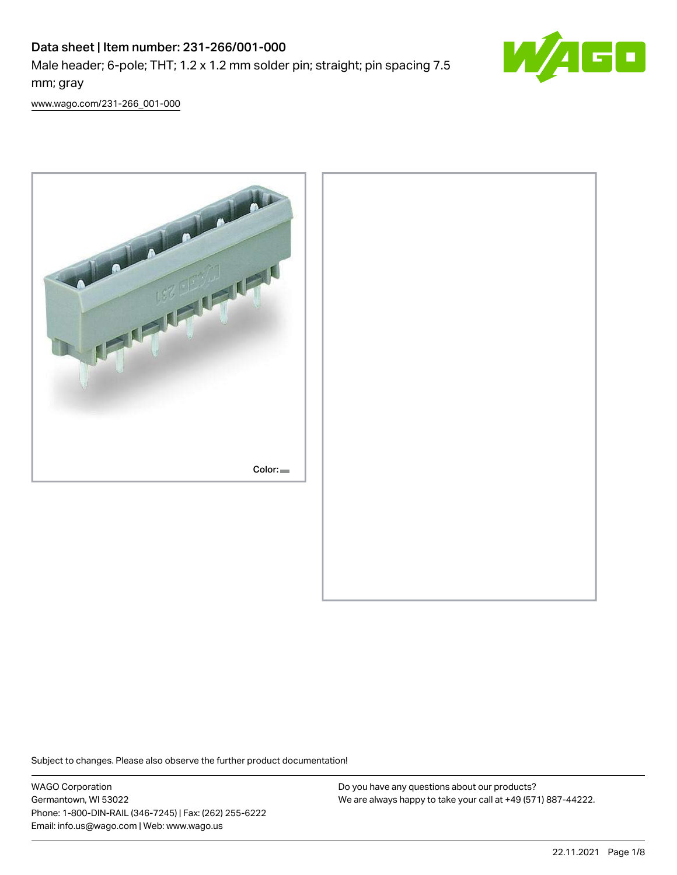# Data sheet | Item number: 231-266/001-000 Male header; 6-pole; THT; 1.2 x 1.2 mm solder pin; straight; pin spacing 7.5 mm; gray



[www.wago.com/231-266\\_001-000](http://www.wago.com/231-266_001-000)



Subject to changes. Please also observe the further product documentation!

WAGO Corporation Germantown, WI 53022 Phone: 1-800-DIN-RAIL (346-7245) | Fax: (262) 255-6222 Email: info.us@wago.com | Web: www.wago.us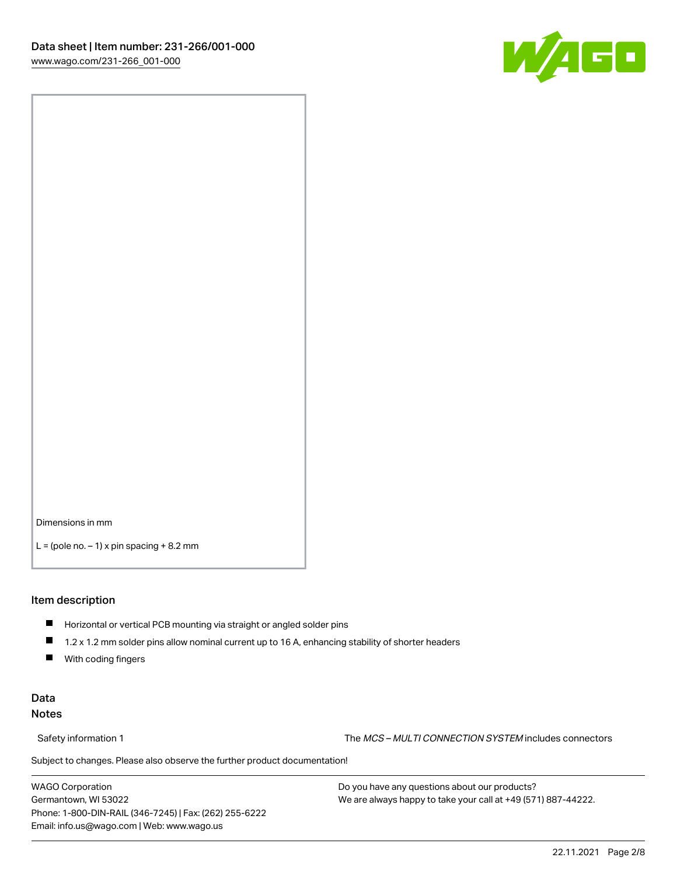

Dimensions in mm

 $L =$  (pole no.  $-1$ ) x pin spacing  $+8.2$  mm

#### Item description

- **Horizontal or vertical PCB mounting via straight or angled solder pins**
- 1.2 x 1.2 mm solder pins allow nominal current up to 16 A, enhancing stability of shorter headers
- $\blacksquare$ With coding fingers

#### Data Notes

Safety information 1 The MCS – MULTI CONNECTION SYSTEM includes connectors

Subject to changes. Please also observe the further product documentation!  $\nu$ 

WAGO Corporation Germantown, WI 53022 Phone: 1-800-DIN-RAIL (346-7245) | Fax: (262) 255-6222 Email: info.us@wago.com | Web: www.wago.us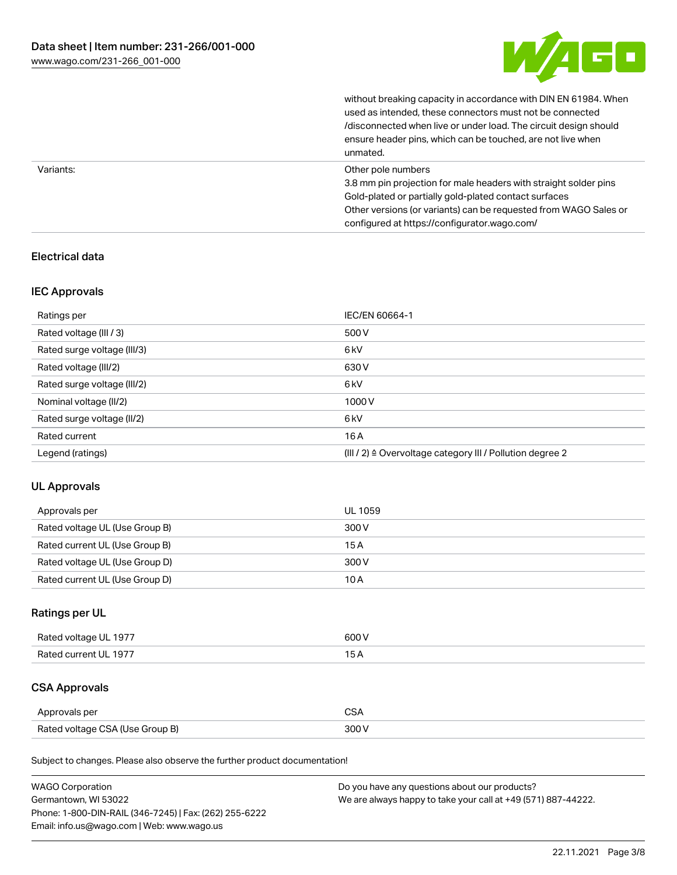

without breaking capacity in accordance with DIN EN 61984. When

|           | used as intended, these connectors must not be connected<br>/disconnected when live or under load. The circuit design should<br>ensure header pins, which can be touched, are not live when<br>unmated.                                                             |
|-----------|---------------------------------------------------------------------------------------------------------------------------------------------------------------------------------------------------------------------------------------------------------------------|
| Variants: | Other pole numbers<br>3.8 mm pin projection for male headers with straight solder pins<br>Gold-plated or partially gold-plated contact surfaces<br>Other versions (or variants) can be requested from WAGO Sales or<br>configured at https://configurator.wago.com/ |

### Electrical data

#### IEC Approvals

| Ratings per                 | IEC/EN 60664-1                                                        |
|-----------------------------|-----------------------------------------------------------------------|
| Rated voltage (III / 3)     | 500 V                                                                 |
| Rated surge voltage (III/3) | 6 <sub>kV</sub>                                                       |
| Rated voltage (III/2)       | 630 V                                                                 |
| Rated surge voltage (III/2) | 6 <sub>kV</sub>                                                       |
| Nominal voltage (II/2)      | 1000V                                                                 |
| Rated surge voltage (II/2)  | 6 <sub>kV</sub>                                                       |
| Rated current               | 16A                                                                   |
| Legend (ratings)            | $(III / 2)$ $\triangle$ Overvoltage category III / Pollution degree 2 |

#### UL Approvals

| Approvals per                  | UL 1059 |
|--------------------------------|---------|
| Rated voltage UL (Use Group B) | 300 V   |
| Rated current UL (Use Group B) | 15 A    |
| Rated voltage UL (Use Group D) | 300 V   |
| Rated current UL (Use Group D) | 10 A    |

## Ratings per UL

| Rated voltage UL 1977 | 600 V |
|-----------------------|-------|
| Rated current UL 1977 |       |

# CSA Approvals

| Approvals per                   | $\sim$ |
|---------------------------------|--------|
| Rated voltage CSA (Use Group B) | 300 V  |

Subject to changes. Please also observe the further product documentation!

| <b>WAGO Corporation</b>                                | Do you have any questions about our products?                 |
|--------------------------------------------------------|---------------------------------------------------------------|
| Germantown, WI 53022                                   | We are always happy to take your call at +49 (571) 887-44222. |
| Phone: 1-800-DIN-RAIL (346-7245)   Fax: (262) 255-6222 |                                                               |
| Email: info.us@wago.com   Web: www.wago.us             |                                                               |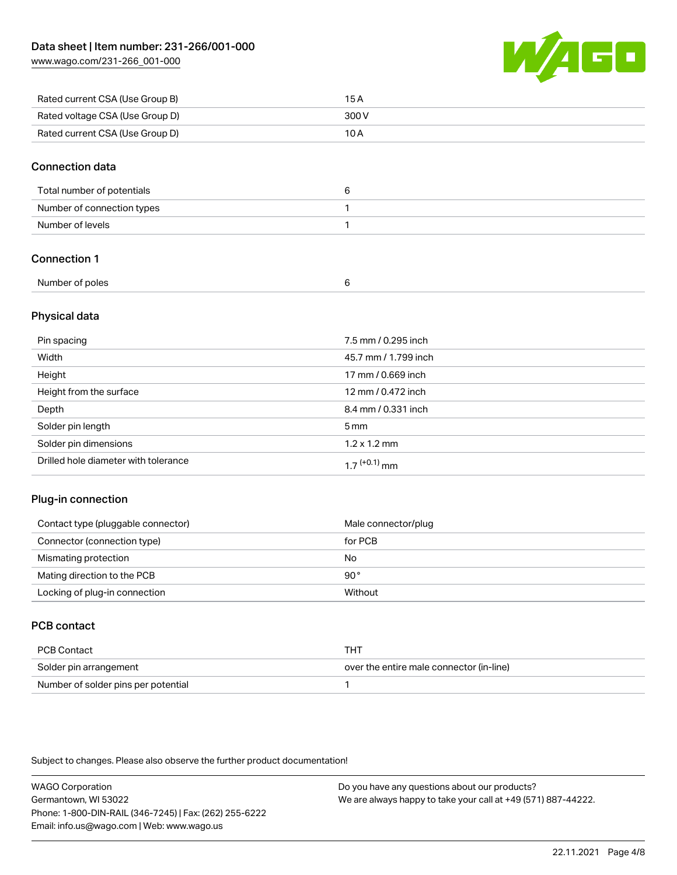[www.wago.com/231-266\\_001-000](http://www.wago.com/231-266_001-000)



| Rated current CSA (Use Group B) | 15 A  |
|---------------------------------|-------|
| Rated voltage CSA (Use Group D) | 300 V |
| Rated current CSA (Use Group D) | 10 A  |

#### Connection data

| Total number of potentials |  |
|----------------------------|--|
| Number of connection types |  |
| Number of levels           |  |

#### Connection 1

| Number of poles |  |
|-----------------|--|
|                 |  |

### Physical data

| Pin spacing                          | 7.5 mm / 0.295 inch  |
|--------------------------------------|----------------------|
| Width                                | 45.7 mm / 1.799 inch |
| Height                               | 17 mm / 0.669 inch   |
| Height from the surface              | 12 mm / 0.472 inch   |
| Depth                                | 8.4 mm / 0.331 inch  |
| Solder pin length                    | $5 \,\mathrm{mm}$    |
| Solder pin dimensions                | $1.2 \times 1.2$ mm  |
| Drilled hole diameter with tolerance | $17^{(+0.1)}$ mm     |

#### Plug-in connection

| Contact type (pluggable connector) | Male connector/plug |
|------------------------------------|---------------------|
| Connector (connection type)        | for PCB             |
| Mismating protection               | No                  |
| Mating direction to the PCB        | 90°                 |
| Locking of plug-in connection      | Without             |

## PCB contact

| PCB Contact                         | тнт                                      |
|-------------------------------------|------------------------------------------|
| Solder pin arrangement              | over the entire male connector (in-line) |
| Number of solder pins per potential |                                          |

Subject to changes. Please also observe the further product documentation!

WAGO Corporation Germantown, WI 53022 Phone: 1-800-DIN-RAIL (346-7245) | Fax: (262) 255-6222 Email: info.us@wago.com | Web: www.wago.us Do you have any questions about our products? We are always happy to take your call at +49 (571) 887-44222.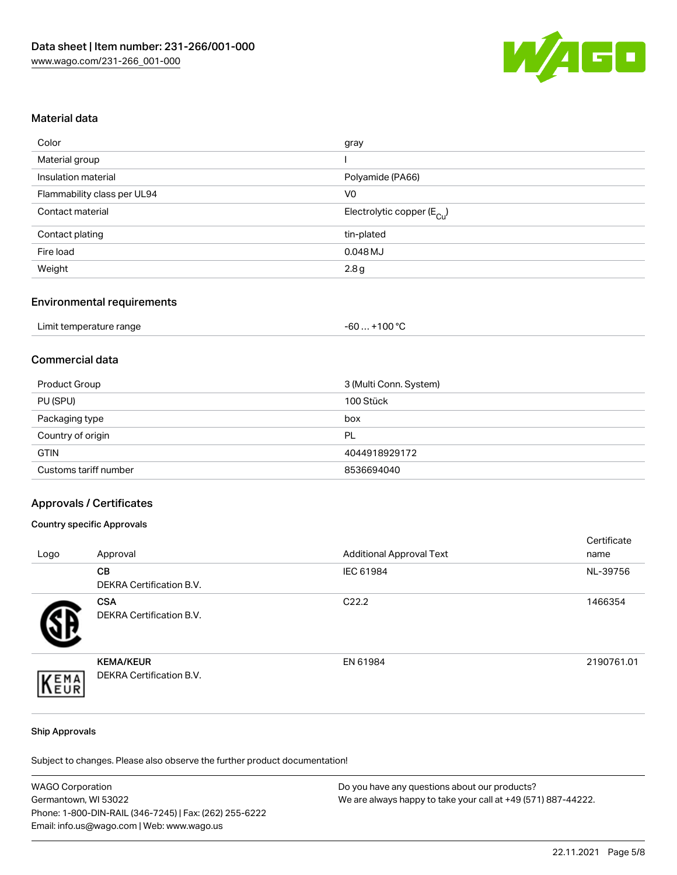

#### Material data

| Color                       | gray                                   |
|-----------------------------|----------------------------------------|
| Material group              |                                        |
| Insulation material         | Polyamide (PA66)                       |
| Flammability class per UL94 | V0                                     |
| Contact material            | Electrolytic copper (E <sub>Cu</sub> ) |
| Contact plating             | tin-plated                             |
| Fire load                   | 0.048 MJ                               |
| Weight                      | 2.8g                                   |
|                             |                                        |

#### Environmental requirements

| Limit temperature range | . +100 °C<br>-60 |
|-------------------------|------------------|
|-------------------------|------------------|

#### Commercial data

| Product Group         | 3 (Multi Conn. System) |
|-----------------------|------------------------|
| PU (SPU)              | 100 Stück              |
| Packaging type        | box                    |
| Country of origin     | PL                     |
| <b>GTIN</b>           | 4044918929172          |
| Customs tariff number | 8536694040             |

#### Approvals / Certificates

#### Country specific Approvals

| Logo | Approval                                     | <b>Additional Approval Text</b> | Certificate<br>name |
|------|----------------------------------------------|---------------------------------|---------------------|
|      | <b>CB</b><br>DEKRA Certification B.V.        | IEC 61984                       | NL-39756            |
|      | <b>CSA</b><br>DEKRA Certification B.V.       | C <sub>22.2</sub>               | 1466354             |
| EMA  | <b>KEMA/KEUR</b><br>DEKRA Certification B.V. | EN 61984                        | 2190761.01          |

#### Ship Approvals

Subject to changes. Please also observe the further product documentation!

| <b>WAGO Corporation</b>                                | Do you have any questions about our products?                 |
|--------------------------------------------------------|---------------------------------------------------------------|
| Germantown, WI 53022                                   | We are always happy to take your call at +49 (571) 887-44222. |
| Phone: 1-800-DIN-RAIL (346-7245)   Fax: (262) 255-6222 |                                                               |
| Email: info.us@wago.com   Web: www.wago.us             |                                                               |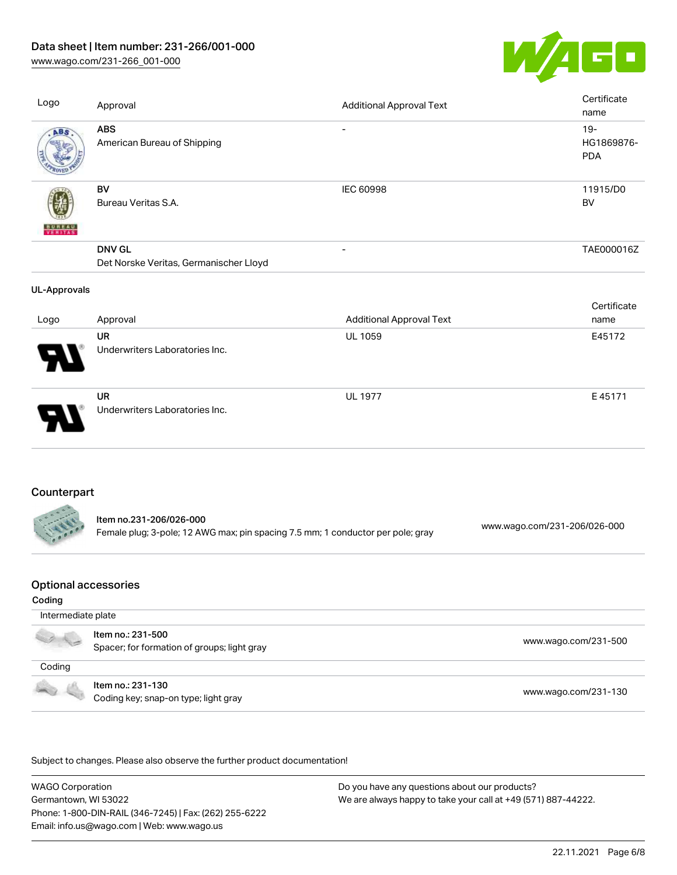# Data sheet | Item number: 231-266/001-000

[www.wago.com/231-266\\_001-000](http://www.wago.com/231-266_001-000)



| Logo                | Approval                                                                        | <b>Additional Approval Text</b> | Certificate<br>name   |             |
|---------------------|---------------------------------------------------------------------------------|---------------------------------|-----------------------|-------------|
| <b>ABS</b>          | <b>ABS</b><br>American Bureau of Shipping                                       |                                 | $19 -$<br><b>PDA</b>  | HG1869876-  |
|                     | BV<br>Bureau Veritas S.A.                                                       | <b>IEC 60998</b>                | 11915/D0<br><b>BV</b> |             |
|                     | <b>DNV GL</b>                                                                   |                                 |                       | TAE000016Z  |
|                     | Det Norske Veritas, Germanischer Lloyd                                          |                                 |                       |             |
| <b>UL-Approvals</b> |                                                                                 |                                 |                       |             |
|                     |                                                                                 |                                 |                       | Certificate |
| Logo                | Approval                                                                        | <b>Additional Approval Text</b> | name                  |             |
|                     | <b>UR</b>                                                                       | <b>UL 1059</b>                  | E45172                |             |
|                     | Underwriters Laboratories Inc.                                                  |                                 |                       |             |
|                     | <b>UR</b>                                                                       | <b>UL 1977</b>                  |                       | E45171      |
|                     | Underwriters Laboratories Inc.                                                  |                                 |                       |             |
| Counterpart         |                                                                                 |                                 |                       |             |
|                     | Item no.231-206/026-000                                                         |                                 |                       |             |
|                     | Female plug; 3-pole; 12 AWG max; pin spacing 7.5 mm; 1 conductor per pole; gray | www.wago.com/231-206/026-000    |                       |             |
| Ontinual announced  |                                                                                 |                                 |                       |             |

#### Optional accessories

#### Coding

| Intermediate plate |                                                                  |                      |
|--------------------|------------------------------------------------------------------|----------------------|
|                    | Item no.: 231-500<br>Spacer; for formation of groups; light gray | www.wago.com/231-500 |
| Coding             |                                                                  |                      |
|                    | Item no.: 231-130<br>Coding key; snap-on type; light gray        | www.wago.com/231-130 |

.<br>Subject to changes. Please also observe the further product documentation!

WAGO Corporation Germantown, WI 53022 Phone: 1-800-DIN-RAIL (346-7245) | Fax: (262) 255-6222 Email: info.us@wago.com | Web: www.wago.us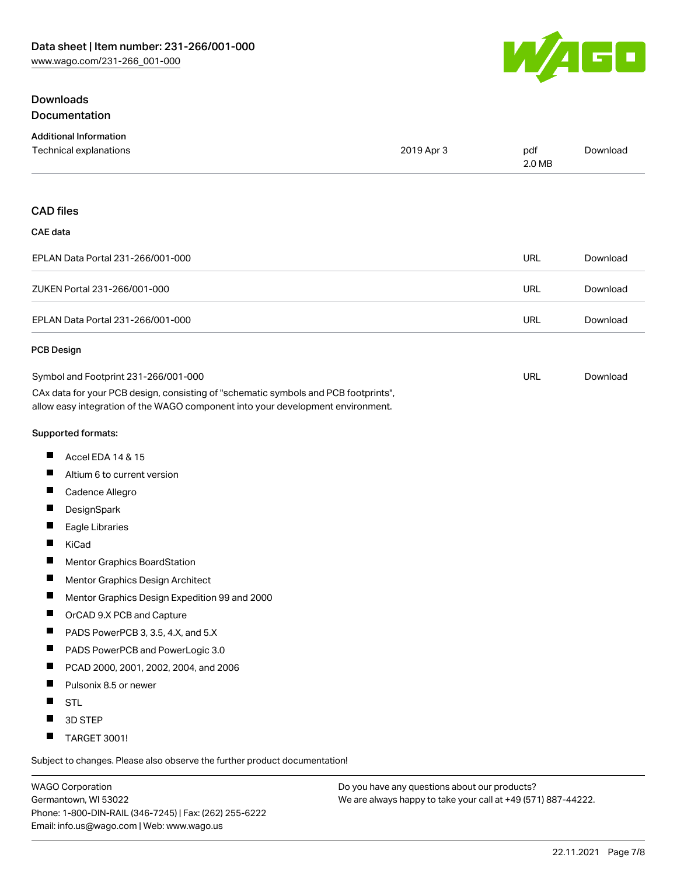# WAGO

# **Downloads** Documentation

| <b>Additional Information</b>                                                                                                                                          |            |               |          |
|------------------------------------------------------------------------------------------------------------------------------------------------------------------------|------------|---------------|----------|
| Technical explanations                                                                                                                                                 | 2019 Apr 3 | pdf<br>2.0 MB | Download |
| <b>CAD files</b>                                                                                                                                                       |            |               |          |
| <b>CAE</b> data                                                                                                                                                        |            |               |          |
| EPLAN Data Portal 231-266/001-000                                                                                                                                      |            | <b>URL</b>    | Download |
| ZUKEN Portal 231-266/001-000                                                                                                                                           |            | <b>URL</b>    | Download |
| EPLAN Data Portal 231-266/001-000                                                                                                                                      |            | <b>URL</b>    | Download |
| <b>PCB Design</b>                                                                                                                                                      |            |               |          |
| Symbol and Footprint 231-266/001-000                                                                                                                                   |            | <b>URL</b>    | Download |
| CAx data for your PCB design, consisting of "schematic symbols and PCB footprints",<br>allow easy integration of the WAGO component into your development environment. |            |               |          |
| Supported formats:                                                                                                                                                     |            |               |          |
| Accel EDA 14 & 15<br>ш                                                                                                                                                 |            |               |          |
| Ш<br>Altium 6 to current version                                                                                                                                       |            |               |          |
| ш<br>Cadence Allegro                                                                                                                                                   |            |               |          |
| ш<br>DesignSpark                                                                                                                                                       |            |               |          |
| Ш<br>Eagle Libraries                                                                                                                                                   |            |               |          |
| ш<br>KiCad                                                                                                                                                             |            |               |          |
| ш<br>Mentor Graphics BoardStation                                                                                                                                      |            |               |          |
| ш<br>Mentor Graphics Design Architect                                                                                                                                  |            |               |          |
| Ш<br>Mentor Graphics Design Expedition 99 and 2000                                                                                                                     |            |               |          |
| ш<br>OrCAD 9.X PCB and Capture                                                                                                                                         |            |               |          |
| ш<br>PADS PowerPCB 3, 3.5, 4.X, and 5.X                                                                                                                                |            |               |          |
| П<br>PADS PowerPCB and PowerLogic 3.0                                                                                                                                  |            |               |          |
| Ш<br>PCAD 2000, 2001, 2002, 2004, and 2006                                                                                                                             |            |               |          |
| ш<br>Pulsonix 8.5 or newer                                                                                                                                             |            |               |          |
| Ш<br>STL                                                                                                                                                               |            |               |          |
| 3D STEP                                                                                                                                                                |            |               |          |
| ш<br>TARGET 3001!                                                                                                                                                      |            |               |          |
|                                                                                                                                                                        |            |               |          |

Subject to changes. Please also observe the further product documentation!

WAGO Corporation Germantown, WI 53022 Phone: 1-800-DIN-RAIL (346-7245) | Fax: (262) 255-6222 Email: info.us@wago.com | Web: www.wago.us